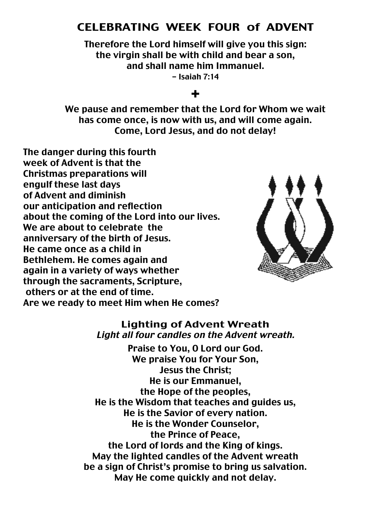# CELEBRATING WEEK FOUR of ADVENT

Therefore the Lord himself will give you this sign: the virgin shall be with child and bear a son, and shall name him Immanuel.

- Isaiah 7:14

### +

We pause and remember that the Lord for Whom we wait has come once, is now with us, and will come again. Come, Lord Jesus, and do not delay!

The danger during this fourth week of Advent is that the Christmas preparations will engulf these last days of Advent and diminish our anticipation and reflection about the coming of the Lord into our lives. We are about to celebrate the anniversary of the birth of Jesus. He came once as a child in Bethlehem. He comes again and again in a variety of ways whether through the sacraments, Scripture, others or at the end of time. Are we ready to meet Him when He comes?



#### Lighting of Advent Wreath Light all four candles on the Advent wreath.

Praise to You, O Lord our God. We praise You for Your Son, Jesus the Christ; He is our Emmanuel, the Hope of the peoples, He is the Wisdom that teaches and guides us, He is the Savior of every nation. He is the Wonder Counselor, the Prince of Peace, the Lord of lords and the King of kings. May the lighted candles of the Advent wreath be a sign of Christ's promise to bring us salvation. May He come quickly and not delay.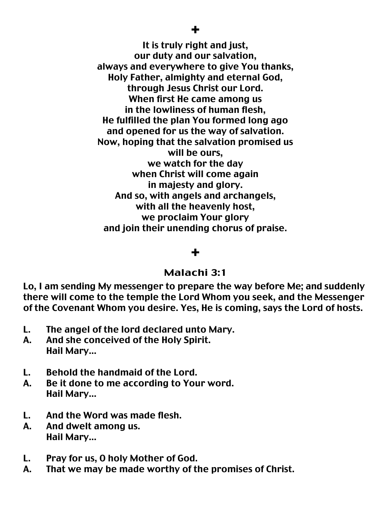It is truly right and just, our duty and our salvation, always and everywhere to give You thanks, Holy Father, almighty and eternal God, through Jesus Christ our Lord. When first He came among us in the lowliness of human flesh, He fulfilled the plan You formed long ago and opened for us the way of salvation. Now, hoping that the salvation promised us will be ours, we watch for the day when Christ will come again in majesty and glory. And so, with angels and archangels, with all the heavenly host, we proclaim Your glory and join their unending chorus of praise.

# +

### Malachi 3:1

Lo, I am sending My messenger to prepare the way before Me; and suddenly there will come to the temple the Lord Whom you seek, and the Messenger of the Covenant Whom you desire. Yes, He is coming, says the Lord of hosts.

- L. The angel of the lord declared unto Mary.
- A. And she conceived of the Holy Spirit. Hail Mary…
- L. Behold the handmaid of the Lord.
- A. Be it done to me according to Your word. Hail Mary…
- L. And the Word was made flesh.
- A. And dwelt among us. Hail Mary…
- L. Pray for us, O holy Mother of God.
- A. That we may be made worthy of the promises of Christ.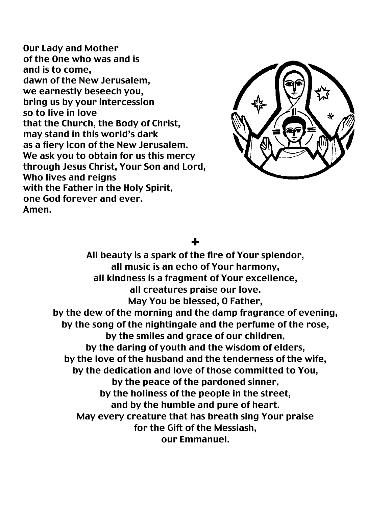Our Lady and Mother of the One who was and is and is to come, dawn of the New Jerusalem, we earnestly beseech you, bring us by your intercession so to live in love that the Church, the Body of Christ, may stand in this world's dark as a fiery icon of the New Jerusalem. We ask you to obtain for us this mercy through Jesus Christ, Your Son and Lord, Who lives and reigns with the Father in the Holy Spirit, one God forever and ever. Amen.



# +

All beauty is a spark of the fire of Your splendor, all music is an echo of Your harmony, all kindness is a fragment of Your excellence, all creatures praise our love. May You be blessed, O Father, by the dew of the morning and the damp fragrance of evening, by the song of the nightingale and the perfume of the rose, by the smiles and grace of our children, by the daring of youth and the wisdom of elders, by the love of the husband and the tenderness of the wife, by the dedication and love of those committed to You, by the peace of the pardoned sinner, by the holiness of the people in the street, and by the humble and pure of heart. May every creature that has breath sing Your praise for the Gift of the Messiash, our Emmanuel.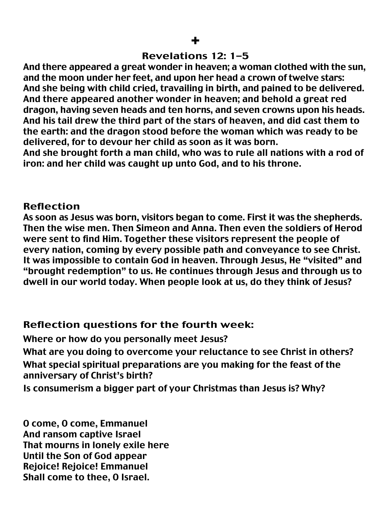### Revelations 12: 1-5

And there appeared a great wonder in heaven; a woman clothed with the sun, and the moon under her feet, and upon her head a crown of twelve stars: And she being with child cried, travailing in birth, and pained to be delivered. And there appeared another wonder in heaven; and behold a great red dragon, having seven heads and ten horns, and seven crowns upon his heads. And his tail drew the third part of the stars of heaven, and did cast them to the earth: and the dragon stood before the woman which was ready to be delivered, for to devour her child as soon as it was born.

And she brought forth a man child, who was to rule all nations with a rod of iron: and her child was caught up unto God, and to his throne.

### Reflection

As soon as Jesus was born, visitors began to come. First it was the shepherds. Then the wise men. Then Simeon and Anna. Then even the soldiers of Herod were sent to find Him. Together these visitors represent the people of every nation, coming by every possible path and conveyance to see Christ. It was impossible to contain God in heaven. Through Jesus, He "visited" and "brought redemption" to us. He continues through Jesus and through us to dwell in our world today. When people look at us, do they think of Jesus?

# Reflection questions for the fourth week:

Where or how do you personally meet Jesus? What are you doing to overcome your reluctance to see Christ in others? What special spiritual preparations are you making for the feast of the anniversary of Christ's birth?

Is consumerism a bigger part of your Christmas than Jesus is? Why?

O come, O come, Emmanuel And ransom captive Israel That mourns in lonely exile here Until the Son of God appear Rejoice! Rejoice! Emmanuel Shall come to thee, O Israel.